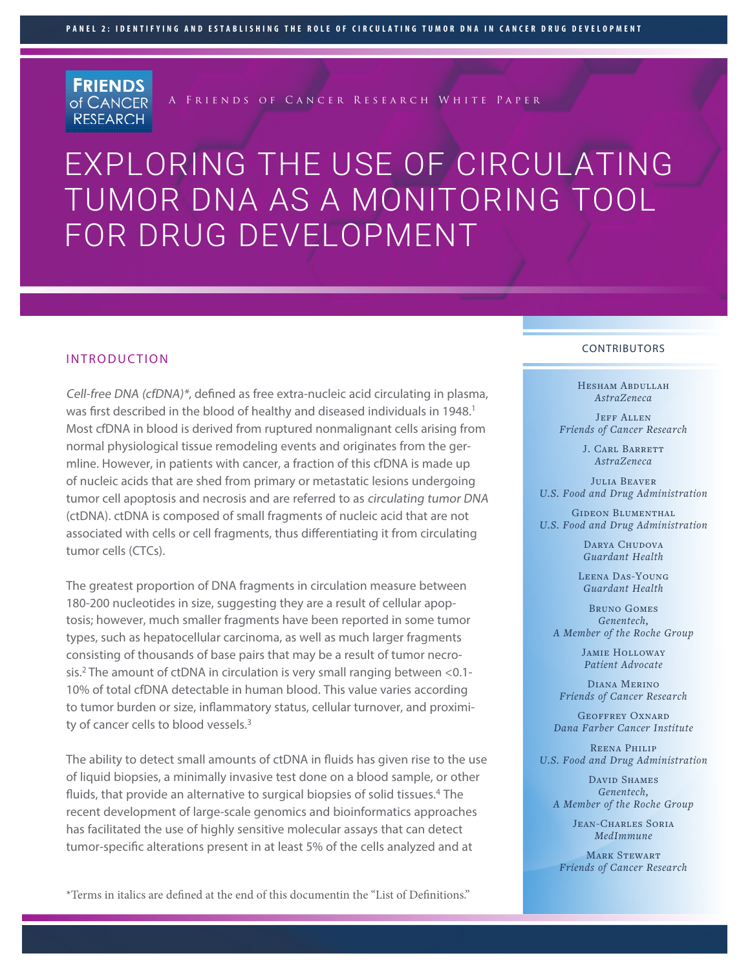**FRIENDS** of CANCER **RESEARCH** 

A Friends of Cancer Research White Paper

# EXPLORING THE USE OF CIRCULATING TUMOR DNA AS A MONITORING TOOL FOR DRUG DEVELOPMENT

#### INTRODUCTION

Cell-free DNA (cfDNA)\*, defined as free extra-nucleic acid circulating in plasma, was first described in the blood of healthy and diseased individuals in 1948.<sup>1</sup> Most cfDNA in blood is derived from ruptured nonmalignant cells arising from normal physiological tissue remodeling events and originates from the germline. However, in patients with cancer, a fraction of this cfDNA is made up of nucleic acids that are shed from primary or metastatic lesions undergoing tumor cell apoptosis and necrosis and are referred to as circulating tumor DNA (ctDNA). ctDNA is composed of small fragments of nucleic acid that are not associated with cells or cell fragments, thus differentiating it from circulating tumor cells (CTCs).

The greatest proportion of DNA fragments in circulation measure between 180-200 nucleotides in size, suggesting they are a result of cellular apoptosis; however, much smaller fragments have been reported in some tumor types, such as hepatocellular carcinoma, as well as much larger fragments consisting of thousands of base pairs that may be a result of tumor necrosis.2 The amount of ctDNA in circulation is very small ranging between <0.1- 10% of total cfDNA detectable in human blood. This value varies according to tumor burden or size, inflammatory status, cellular turnover, and proximity of cancer cells to blood vessels.<sup>3</sup>

The ability to detect small amounts of ctDNA in fluids has given rise to the use of liquid biopsies, a minimally invasive test done on a blood sample, or other fluids, that provide an alternative to surgical biopsies of solid tissues.<sup>4</sup> The recent development of large-scale genomics and bioinformatics approaches has facilitated the use of highly sensitive molecular assays that can detect tumor-specific alterations present in at least 5% of the cells analyzed and at

\*Terms in italics are defined at the end of this documentin the "List of Definitions."

#### CONTRIBUTORS

Hesham Abdullah *AstraZeneca*

JEFF ALLEN *Friends of Cancer Research* 

> J. CARL BARRETT *AstraZeneca*

Julia Beaver *U.S. Food and Drug Administration*

GIDEON BLUMENTHAL *U.S. Food and Drug Administration*

> DARYA CHUDOVA *Guardant Health*

Leena Das-Young *Guardant Health*

Bruno Gomes *Genentech, A Member of the Roche Group* 

> Jamie Holloway *Patient Advocate*

Diana Merino *Friends of Cancer Research* 

Geoffrey Oxnard *Dana Farber Cancer Institute*

Reena Philip *U.S. Food and Drug Administration*

DAVID SHAMES *Genentech, A Member of the Roche Group*

> Jean-Charles Soria *MedImmune*

MARK STEWART *Friends of Cancer Research*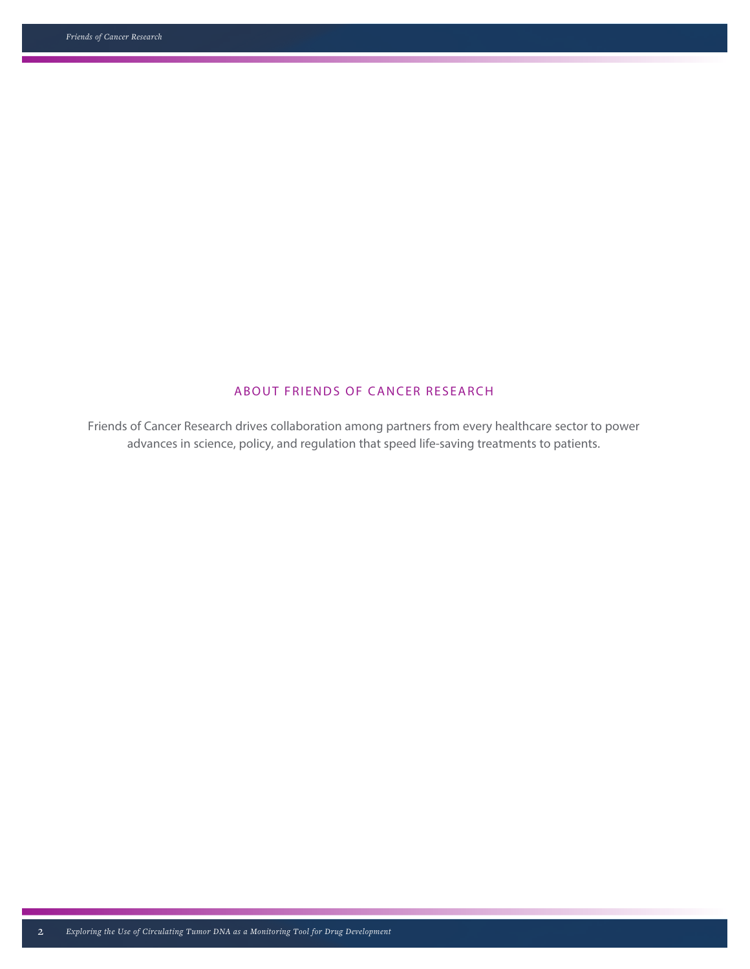# ABOUT FRIENDS OF CANCER RESEARCH

Friends of Cancer Research drives collaboration among partners from every healthcare sector to power advances in science, policy, and regulation that speed life-saving treatments to patients.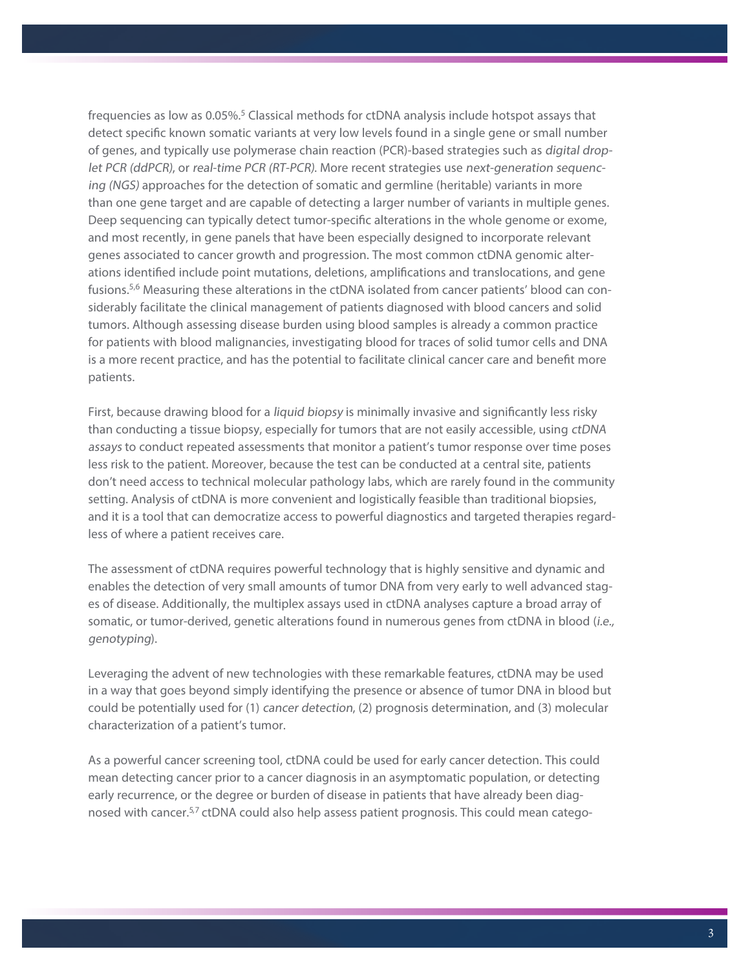frequencies as low as 0.05%.<sup>5</sup> Classical methods for ctDNA analysis include hotspot assays that detect specific known somatic variants at very low levels found in a single gene or small number of genes, and typically use polymerase chain reaction (PCR)-based strategies such as digital droplet PCR (ddPCR), or real-time PCR (RT-PCR). More recent strategies use next-generation sequencing (NGS) approaches for the detection of somatic and germline (heritable) variants in more than one gene target and are capable of detecting a larger number of variants in multiple genes. Deep sequencing can typically detect tumor-specific alterations in the whole genome or exome, and most recently, in gene panels that have been especially designed to incorporate relevant genes associated to cancer growth and progression. The most common ctDNA genomic alterations identified include point mutations, deletions, amplifications and translocations, and gene fusions.5,6 Measuring these alterations in the ctDNA isolated from cancer patients' blood can considerably facilitate the clinical management of patients diagnosed with blood cancers and solid tumors. Although assessing disease burden using blood samples is already a common practice for patients with blood malignancies, investigating blood for traces of solid tumor cells and DNA is a more recent practice, and has the potential to facilitate clinical cancer care and benefit more patients.

First, because drawing blood for a liquid biopsy is minimally invasive and significantly less risky than conducting a tissue biopsy, especially for tumors that are not easily accessible, using ctDNA assays to conduct repeated assessments that monitor a patient's tumor response over time poses less risk to the patient. Moreover, because the test can be conducted at a central site, patients don't need access to technical molecular pathology labs, which are rarely found in the community setting. Analysis of ctDNA is more convenient and logistically feasible than traditional biopsies, and it is a tool that can democratize access to powerful diagnostics and targeted therapies regardless of where a patient receives care.

The assessment of ctDNA requires powerful technology that is highly sensitive and dynamic and enables the detection of very small amounts of tumor DNA from very early to well advanced stages of disease. Additionally, the multiplex assays used in ctDNA analyses capture a broad array of somatic, or tumor-derived, genetic alterations found in numerous genes from ctDNA in blood (i.e., genotyping).

Leveraging the advent of new technologies with these remarkable features, ctDNA may be used in a way that goes beyond simply identifying the presence or absence of tumor DNA in blood but could be potentially used for (1) cancer detection, (2) prognosis determination, and (3) molecular characterization of a patient's tumor.

As a powerful cancer screening tool, ctDNA could be used for early cancer detection. This could mean detecting cancer prior to a cancer diagnosis in an asymptomatic population, or detecting early recurrence, or the degree or burden of disease in patients that have already been diagnosed with cancer.<sup>5,7</sup> ctDNA could also help assess patient prognosis. This could mean catego-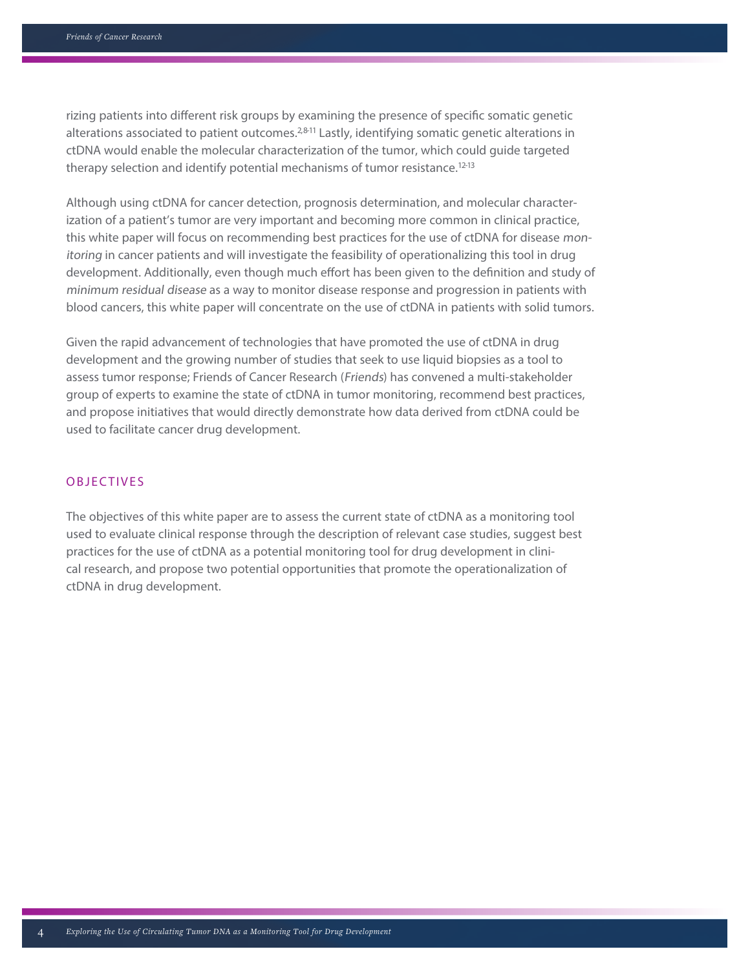rizing patients into different risk groups by examining the presence of specific somatic genetic alterations associated to patient outcomes.<sup>2,811</sup> Lastly, identifying somatic genetic alterations in ctDNA would enable the molecular characterization of the tumor, which could guide targeted therapy selection and identify potential mechanisms of tumor resistance.<sup>12-13</sup>

Although using ctDNA for cancer detection, prognosis determination, and molecular characterization of a patient's tumor are very important and becoming more common in clinical practice, this white paper will focus on recommending best practices for the use of ctDNA for disease monitoring in cancer patients and will investigate the feasibility of operationalizing this tool in drug development. Additionally, even though much effort has been given to the definition and study of minimum residual disease as a way to monitor disease response and progression in patients with blood cancers, this white paper will concentrate on the use of ctDNA in patients with solid tumors.

Given the rapid advancement of technologies that have promoted the use of ctDNA in drug development and the growing number of studies that seek to use liquid biopsies as a tool to assess tumor response; Friends of Cancer Research (Friends) has convened a multi-stakeholder group of experts to examine the state of ctDNA in tumor monitoring, recommend best practices, and propose initiatives that would directly demonstrate how data derived from ctDNA could be used to facilitate cancer drug development.

#### **OBJECTIVES**

The objectives of this white paper are to assess the current state of ctDNA as a monitoring tool used to evaluate clinical response through the description of relevant case studies, suggest best practices for the use of ctDNA as a potential monitoring tool for drug development in clinical research, and propose two potential opportunities that promote the operationalization of ctDNA in drug development.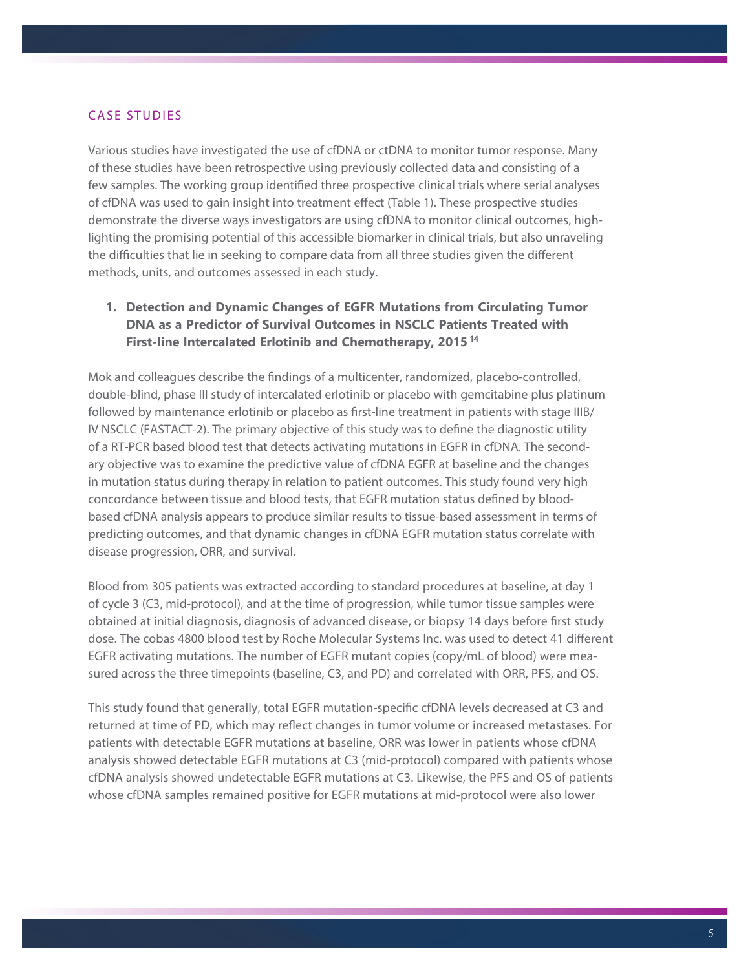#### **CASE STUDIES**

Various studies have investigated the use of cfDNA or ctDNA to monitor tumor response. Many of these studies have been retrospective using previously collected data and consisting of a few samples. The working group identified three prospective clinical trials where serial analyses of cfDNA was used to gain insight into treatment effect (Table 1). These prospective studies demonstrate the diverse ways investigators are using cfDNA to monitor clinical outcomes, highlighting the promising potential of this accessible biomarker in clinical trials, but also unraveling the difficulties that lie in seeking to compare data from all three studies given the different methods, units, and outcomes assessed in each study.

**1. Detection and Dynamic Changes of EGFR Mutations from Circulating Tumor DNA as a Predictor of Survival Outcomes in NSCLC Patients Treated with First-line Intercalated Erlotinib and Chemotherapy, 201514**

Mok and colleagues describe the findings of a multicenter, randomized, placebo-controlled, double-blind, phase III study of intercalated erlotinib or placebo with gemcitabine plus platinum followed by maintenance erlotinib or placebo as first-line treatment in patients with stage IIIB/ IV NSCLC (FASTACT-2). The primary objective of this study was to define the diagnostic utility of a RT-PCR based blood test that detects activating mutations in EGFR in cfDNA. The secondary objective was to examine the predictive value of cfDNA EGFR at baseline and the changes in mutation status during therapy in relation to patient outcomes. This study found very high concordance between tissue and blood tests, that EGFR mutation status defined by bloodbased cfDNA analysis appears to produce similar results to tissue-based assessment in terms of predicting outcomes, and that dynamic changes in cfDNA EGFR mutation status correlate with disease progression, ORR, and survival.

Blood from 305 patients was extracted according to standard procedures at baseline, at day 1 of cycle 3 (C3, mid-protocol), and at the time of progression, while tumor tissue samples were obtained at initial diagnosis, diagnosis of advanced disease, or biopsy 14 days before first study dose. The cobas 4800 blood test by Roche Molecular Systems Inc. was used to detect 41 different EGFR activating mutations. The number of EGFR mutant copies (copy/mL of blood) were measured across the three timepoints (baseline, C3, and PD) and correlated with ORR, PFS, and OS.

This study found that generally, total EGFR mutation-specific cfDNA levels decreased at C3 and returned at time of PD, which may reflect changes in tumor volume or increased metastases. For patients with detectable EGFR mutations at baseline, ORR was lower in patients whose cfDNA analysis showed detectable EGFR mutations at C3 (mid-protocol) compared with patients whose cfDNA analysis showed undetectable EGFR mutations at C3. Likewise, the PFS and OS of patients whose cfDNA samples remained positive for EGFR mutations at mid-protocol were also lower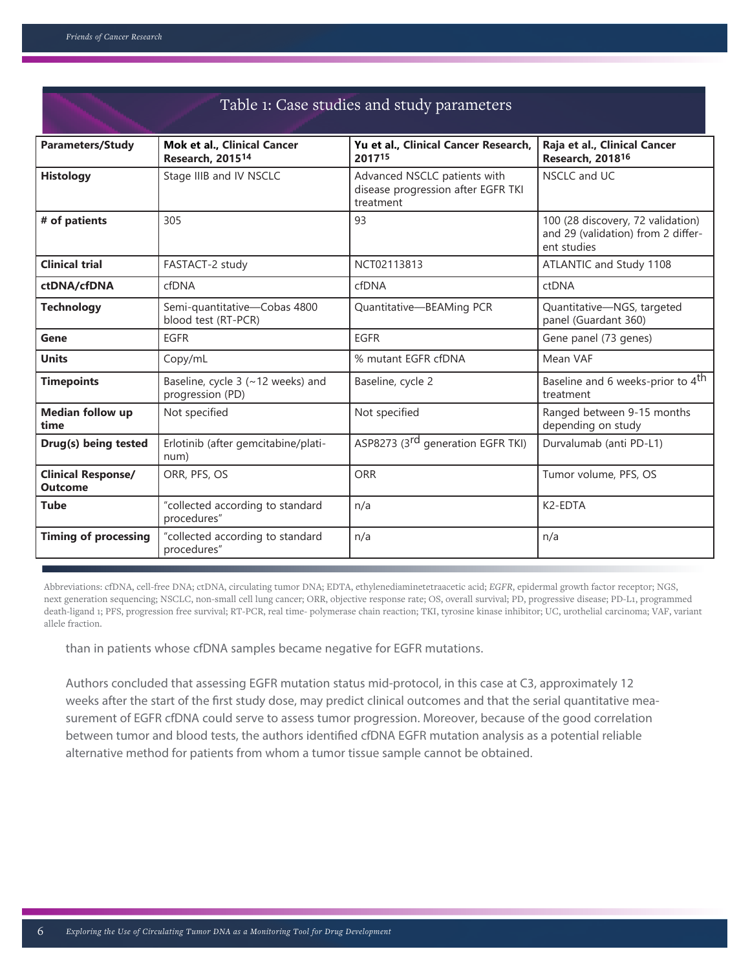| Table 1: Case studies and study parameters  |                                                             |                                                                                 |                                                                                        |  |
|---------------------------------------------|-------------------------------------------------------------|---------------------------------------------------------------------------------|----------------------------------------------------------------------------------------|--|
| <b>Parameters/Study</b>                     | Mok et al., Clinical Cancer<br>Research, 2015 <sup>14</sup> | Yu et al., Clinical Cancer Research,<br>201715                                  | Raja et al., Clinical Cancer<br>Research, 2018 <sup>16</sup>                           |  |
| <b>Histology</b>                            | Stage IIIB and IV NSCLC                                     | Advanced NSCLC patients with<br>disease progression after EGFR TKI<br>treatment | NSCLC and UC                                                                           |  |
| # of patients                               | 305                                                         | 93                                                                              | 100 (28 discovery, 72 validation)<br>and 29 (validation) from 2 differ-<br>ent studies |  |
| <b>Clinical trial</b>                       | FASTACT-2 study                                             | NCT02113813                                                                     | ATLANTIC and Study 1108                                                                |  |
| ctDNA/cfDNA                                 | cfDNA                                                       | cfDNA                                                                           | ctDNA                                                                                  |  |
| <b>Technology</b>                           | Semi-quantitative-Cobas 4800<br>blood test (RT-PCR)         | Quantitative-BEAMing PCR                                                        | Quantitative-NGS, targeted<br>panel (Guardant 360)                                     |  |
| Gene                                        | <b>EGFR</b>                                                 | <b>EGFR</b>                                                                     | Gene panel (73 genes)                                                                  |  |
| <b>Units</b>                                | Copy/mL                                                     | % mutant EGFR cfDNA                                                             | Mean VAF                                                                               |  |
| <b>Timepoints</b>                           | Baseline, cycle 3 (~12 weeks) and<br>progression (PD)       | Baseline, cycle 2                                                               | Baseline and 6 weeks-prior to 4 <sup>th</sup><br>treatment                             |  |
| <b>Median follow up</b><br>time             | Not specified                                               | Not specified                                                                   | Ranged between 9-15 months<br>depending on study                                       |  |
| Drug(s) being tested                        | Erlotinib (after gemcitabine/plati-<br>num)                 | ASP8273 (3 <sup>rd</sup> generation EGFR TKI)                                   | Durvalumab (anti PD-L1)                                                                |  |
| <b>Clinical Response/</b><br><b>Outcome</b> | ORR, PFS, OS                                                | <b>ORR</b>                                                                      | Tumor volume, PFS, OS                                                                  |  |
| <b>Tube</b>                                 | "collected according to standard<br>procedures"             | n/a                                                                             | K <sub>2</sub> -EDTA                                                                   |  |
| <b>Timing of processing</b>                 | "collected according to standard<br>procedures"             | n/a                                                                             | n/a                                                                                    |  |

Abbreviations: cfDNA, cell-free DNA; ctDNA, circulating tumor DNA; EDTA, ethylenediaminetetraacetic acid; *EGFR*, epidermal growth factor receptor; NGS, next generation sequencing; NSCLC, non-small cell lung cancer; ORR, objective response rate; OS, overall survival; PD, progressive disease; PD-L1, programmed death-ligand 1; PFS, progression free survival; RT-PCR, real time- polymerase chain reaction; TKI, tyrosine kinase inhibitor; UC, urothelial carcinoma; VAF, variant allele fraction.

than in patients whose cfDNA samples became negative for EGFR mutations.

Authors concluded that assessing EGFR mutation status mid-protocol, in this case at C3, approximately 12 weeks after the start of the first study dose, may predict clinical outcomes and that the serial quantitative measurement of EGFR cfDNA could serve to assess tumor progression. Moreover, because of the good correlation between tumor and blood tests, the authors identified cfDNA EGFR mutation analysis as a potential reliable alternative method for patients from whom a tumor tissue sample cannot be obtained.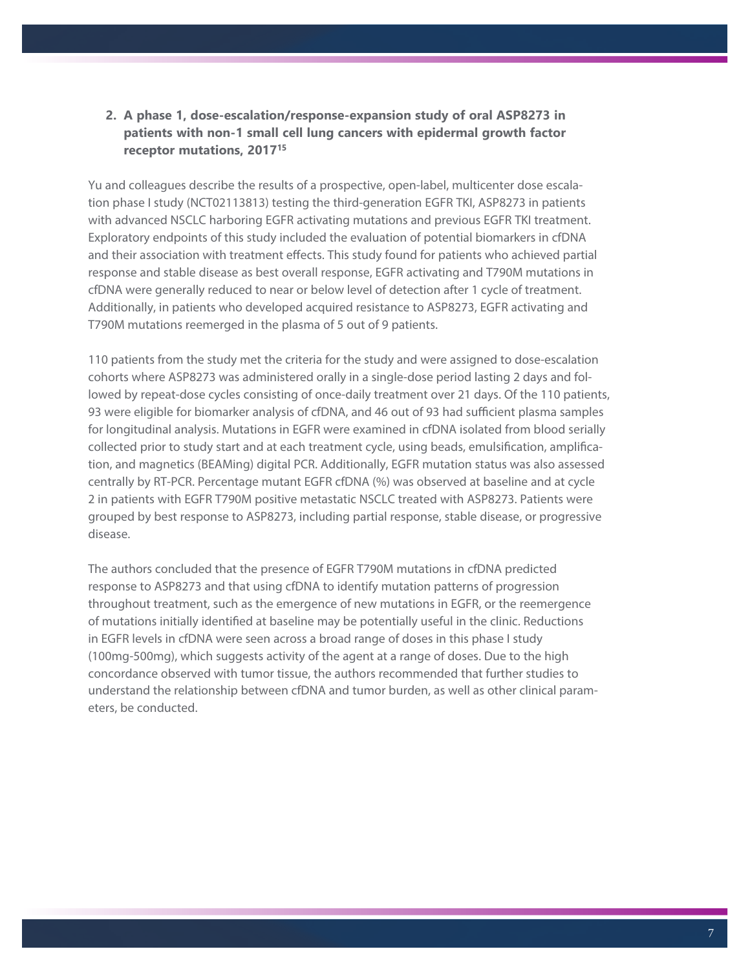# **2. A phase 1, dose-escalation/response-expansion study of oral ASP8273 in patients with non-1 small cell lung cancers with epidermal growth factor receptor mutations, 201715**

Yu and colleagues describe the results of a prospective, open-label, multicenter dose escalation phase I study (NCT02113813) testing the third-generation EGFR TKI, ASP8273 in patients with advanced NSCLC harboring EGFR activating mutations and previous EGFR TKI treatment. Exploratory endpoints of this study included the evaluation of potential biomarkers in cfDNA and their association with treatment effects. This study found for patients who achieved partial response and stable disease as best overall response, EGFR activating and T790M mutations in cfDNA were generally reduced to near or below level of detection after 1 cycle of treatment. Additionally, in patients who developed acquired resistance to ASP8273, EGFR activating and T790M mutations reemerged in the plasma of 5 out of 9 patients.

110 patients from the study met the criteria for the study and were assigned to dose-escalation cohorts where ASP8273 was administered orally in a single-dose period lasting 2 days and followed by repeat-dose cycles consisting of once-daily treatment over 21 days. Of the 110 patients, 93 were eligible for biomarker analysis of cfDNA, and 46 out of 93 had sufficient plasma samples for longitudinal analysis. Mutations in EGFR were examined in cfDNA isolated from blood serially collected prior to study start and at each treatment cycle, using beads, emulsification, amplification, and magnetics (BEAMing) digital PCR. Additionally, EGFR mutation status was also assessed centrally by RT-PCR. Percentage mutant EGFR cfDNA (%) was observed at baseline and at cycle 2 in patients with EGFR T790M positive metastatic NSCLC treated with ASP8273. Patients were grouped by best response to ASP8273, including partial response, stable disease, or progressive disease.

The authors concluded that the presence of EGFR T790M mutations in cfDNA predicted response to ASP8273 and that using cfDNA to identify mutation patterns of progression throughout treatment, such as the emergence of new mutations in EGFR, or the reemergence of mutations initially identified at baseline may be potentially useful in the clinic. Reductions in EGFR levels in cfDNA were seen across a broad range of doses in this phase I study (100mg-500mg), which suggests activity of the agent at a range of doses. Due to the high concordance observed with tumor tissue, the authors recommended that further studies to understand the relationship between cfDNA and tumor burden, as well as other clinical parameters, be conducted.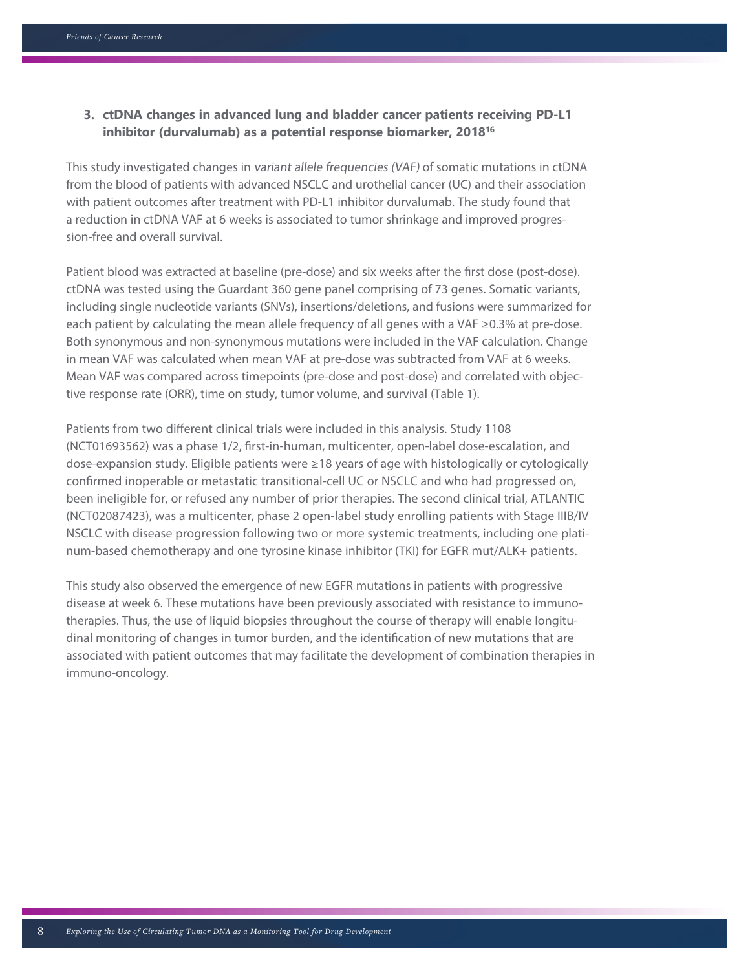### **3. ctDNA changes in advanced lung and bladder cancer patients receiving PD-L1 inhibitor (durvalumab) as a potential response biomarker, 201816**

This study investigated changes in variant allele frequencies (VAF) of somatic mutations in ctDNA from the blood of patients with advanced NSCLC and urothelial cancer (UC) and their association with patient outcomes after treatment with PD-L1 inhibitor durvalumab. The study found that a reduction in ctDNA VAF at 6 weeks is associated to tumor shrinkage and improved progression-free and overall survival.

Patient blood was extracted at baseline (pre-dose) and six weeks after the first dose (post-dose). ctDNA was tested using the Guardant 360 gene panel comprising of 73 genes. Somatic variants, including single nucleotide variants (SNVs), insertions/deletions, and fusions were summarized for each patient by calculating the mean allele frequency of all genes with a VAF ≥0.3% at pre-dose. Both synonymous and non-synonymous mutations were included in the VAF calculation. Change in mean VAF was calculated when mean VAF at pre-dose was subtracted from VAF at 6 weeks. Mean VAF was compared across timepoints (pre-dose and post-dose) and correlated with objective response rate (ORR), time on study, tumor volume, and survival (Table 1).

Patients from two different clinical trials were included in this analysis. Study 1108 (NCT01693562) was a phase 1/2, first-in-human, multicenter, open-label dose-escalation, and dose-expansion study. Eligible patients were ≥18 years of age with histologically or cytologically confirmed inoperable or metastatic transitional-cell UC or NSCLC and who had progressed on, been ineligible for, or refused any number of prior therapies. The second clinical trial, ATLANTIC (NCT02087423), was a multicenter, phase 2 open-label study enrolling patients with Stage IIIB/IV NSCLC with disease progression following two or more systemic treatments, including one platinum-based chemotherapy and one tyrosine kinase inhibitor (TKI) for EGFR mut/ALK+ patients.

This study also observed the emergence of new EGFR mutations in patients with progressive disease at week 6. These mutations have been previously associated with resistance to immunotherapies. Thus, the use of liquid biopsies throughout the course of therapy will enable longitudinal monitoring of changes in tumor burden, and the identification of new mutations that are associated with patient outcomes that may facilitate the development of combination therapies in immuno-oncology.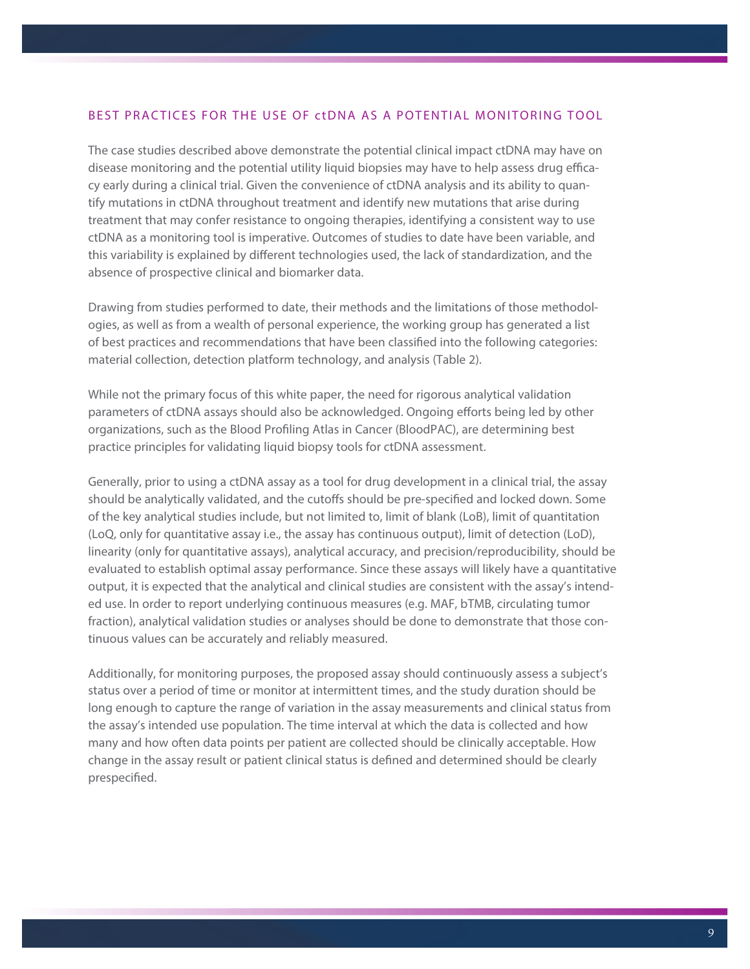#### BEST PRACTICES FOR THE USE OF ctDNA AS A POTENTIAL MONITORING TOOL

The case studies described above demonstrate the potential clinical impact ctDNA may have on disease monitoring and the potential utility liquid biopsies may have to help assess drug efficacy early during a clinical trial. Given the convenience of ctDNA analysis and its ability to quantify mutations in ctDNA throughout treatment and identify new mutations that arise during treatment that may confer resistance to ongoing therapies, identifying a consistent way to use ctDNA as a monitoring tool is imperative. Outcomes of studies to date have been variable, and this variability is explained by different technologies used, the lack of standardization, and the absence of prospective clinical and biomarker data.

Drawing from studies performed to date, their methods and the limitations of those methodologies, as well as from a wealth of personal experience, the working group has generated a list of best practices and recommendations that have been classified into the following categories: material collection, detection platform technology, and analysis (Table 2).

While not the primary focus of this white paper, the need for rigorous analytical validation parameters of ctDNA assays should also be acknowledged. Ongoing efforts being led by other organizations, such as the Blood Profiling Atlas in Cancer (BloodPAC), are determining best practice principles for validating liquid biopsy tools for ctDNA assessment.

Generally, prior to using a ctDNA assay as a tool for drug development in a clinical trial, the assay should be analytically validated, and the cutoffs should be pre-specified and locked down. Some of the key analytical studies include, but not limited to, limit of blank (LoB), limit of quantitation (LoQ, only for quantitative assay i.e., the assay has continuous output), limit of detection (LoD), linearity (only for quantitative assays), analytical accuracy, and precision/reproducibility, should be evaluated to establish optimal assay performance. Since these assays will likely have a quantitative output, it is expected that the analytical and clinical studies are consistent with the assay's intended use. In order to report underlying continuous measures (e.g. MAF, bTMB, circulating tumor fraction), analytical validation studies or analyses should be done to demonstrate that those continuous values can be accurately and reliably measured.

Additionally, for monitoring purposes, the proposed assay should continuously assess a subject's status over a period of time or monitor at intermittent times, and the study duration should be long enough to capture the range of variation in the assay measurements and clinical status from the assay's intended use population. The time interval at which the data is collected and how many and how often data points per patient are collected should be clinically acceptable. How change in the assay result or patient clinical status is defined and determined should be clearly prespecified.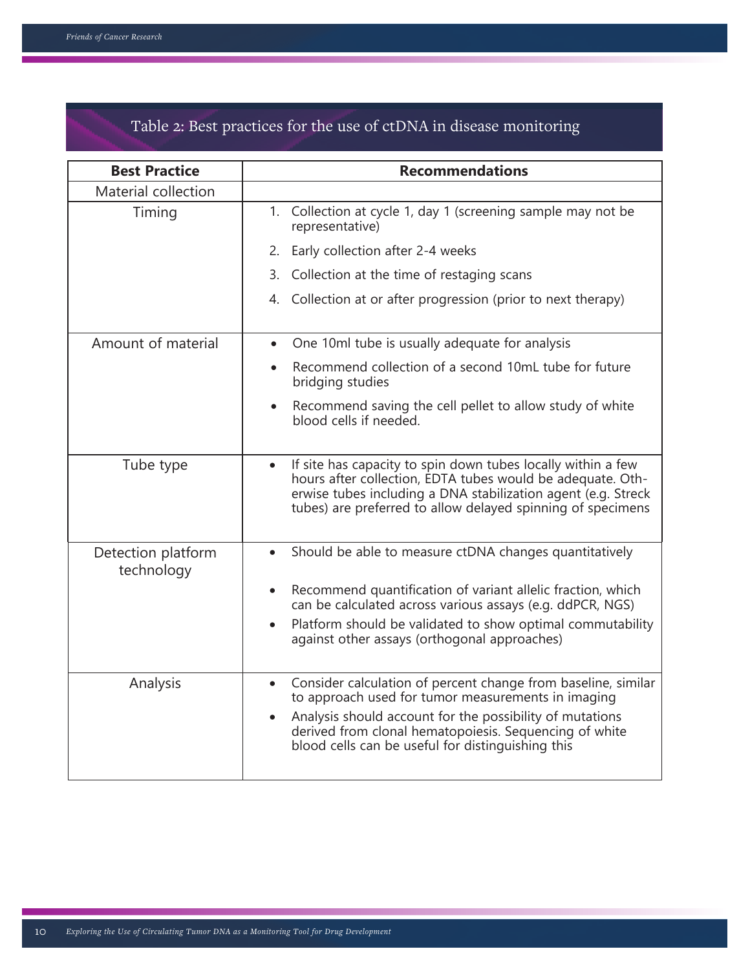| Table 2: Best practices for the use of ctDNA in disease monitoring |  |  |
|--------------------------------------------------------------------|--|--|
|--------------------------------------------------------------------|--|--|

| <b>Best Practice</b>             | <b>Recommendations</b>                                                                                                                                                                                                                                                                           |  |
|----------------------------------|--------------------------------------------------------------------------------------------------------------------------------------------------------------------------------------------------------------------------------------------------------------------------------------------------|--|
| Material collection              |                                                                                                                                                                                                                                                                                                  |  |
| Timing                           | 1. Collection at cycle 1, day 1 (screening sample may not be<br>representative)                                                                                                                                                                                                                  |  |
|                                  | Early collection after 2-4 weeks<br>2.                                                                                                                                                                                                                                                           |  |
|                                  | Collection at the time of restaging scans<br>3.                                                                                                                                                                                                                                                  |  |
|                                  | 4. Collection at or after progression (prior to next therapy)                                                                                                                                                                                                                                    |  |
| Amount of material               | One 10ml tube is usually adequate for analysis<br>$\bullet$                                                                                                                                                                                                                                      |  |
|                                  | Recommend collection of a second 10mL tube for future<br>bridging studies                                                                                                                                                                                                                        |  |
|                                  | Recommend saving the cell pellet to allow study of white<br>blood cells if needed.                                                                                                                                                                                                               |  |
| Tube type                        | If site has capacity to spin down tubes locally within a few<br>$\bullet$<br>hours after collection, EDTA tubes would be adequate. Oth-<br>erwise tubes including a DNA stabilization agent (e.g. Streck<br>tubes) are preferred to allow delayed spinning of specimens                          |  |
| Detection platform<br>technology | Should be able to measure ctDNA changes quantitatively<br>Recommend quantification of variant allelic fraction, which<br>can be calculated across various assays (e.g. ddPCR, NGS)<br>Platform should be validated to show optimal commutability<br>against other assays (orthogonal approaches) |  |
|                                  |                                                                                                                                                                                                                                                                                                  |  |
| Analysis                         | Consider calculation of percent change from baseline, similar<br>to approach used for tumor measurements in imaging<br>Analysis should account for the possibility of mutations<br>derived from clonal hematopoiesis. Sequencing of white<br>blood cells can be useful for distinguishing this   |  |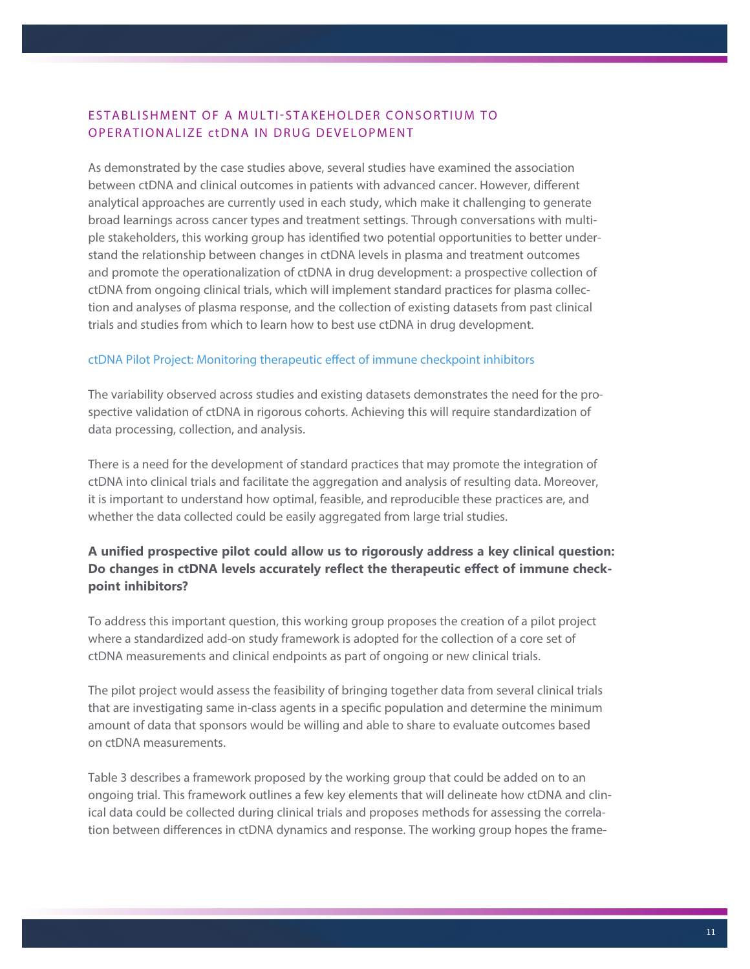# ESTABLISHMENT OF A MULTI-STAKEHOLDER CONSORTIUM TO OPERATIONALIZE ctDNA IN DRUG DEVELOPMENT

As demonstrated by the case studies above, several studies have examined the association between ctDNA and clinical outcomes in patients with advanced cancer. However, different analytical approaches are currently used in each study, which make it challenging to generate broad learnings across cancer types and treatment settings. Through conversations with multiple stakeholders, this working group has identified two potential opportunities to better understand the relationship between changes in ctDNA levels in plasma and treatment outcomes and promote the operationalization of ctDNA in drug development: a prospective collection of ctDNA from ongoing clinical trials, which will implement standard practices for plasma collection and analyses of plasma response, and the collection of existing datasets from past clinical trials and studies from which to learn how to best use ctDNA in drug development.

#### ctDNA Pilot Project: Monitoring therapeutic effect of immune checkpoint inhibitors

The variability observed across studies and existing datasets demonstrates the need for the prospective validation of ctDNA in rigorous cohorts. Achieving this will require standardization of data processing, collection, and analysis.

There is a need for the development of standard practices that may promote the integration of ctDNA into clinical trials and facilitate the aggregation and analysis of resulting data. Moreover, it is important to understand how optimal, feasible, and reproducible these practices are, and whether the data collected could be easily aggregated from large trial studies.

# **A unified prospective pilot could allow us to rigorously address a key clinical question: Do changes in ctDNA levels accurately reflect the therapeutic effect of immune checkpoint inhibitors?**

To address this important question, this working group proposes the creation of a pilot project where a standardized add-on study framework is adopted for the collection of a core set of ctDNA measurements and clinical endpoints as part of ongoing or new clinical trials.

The pilot project would assess the feasibility of bringing together data from several clinical trials that are investigating same in-class agents in a specific population and determine the minimum amount of data that sponsors would be willing and able to share to evaluate outcomes based on ctDNA measurements.

Table 3 describes a framework proposed by the working group that could be added on to an ongoing trial. This framework outlines a few key elements that will delineate how ctDNA and clinical data could be collected during clinical trials and proposes methods for assessing the correlation between differences in ctDNA dynamics and response. The working group hopes the frame-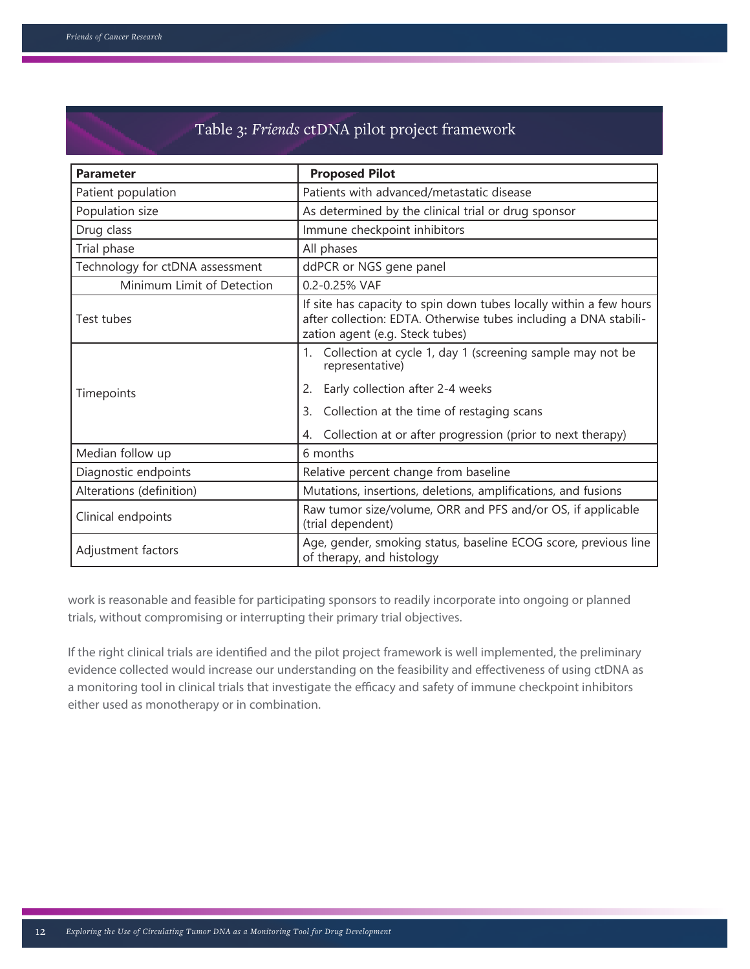# Table 3: *Friends* ctDNA pilot project framework

| <b>Parameter</b>                | <b>Proposed Pilot</b>                                                                                                                                                                                                                               |
|---------------------------------|-----------------------------------------------------------------------------------------------------------------------------------------------------------------------------------------------------------------------------------------------------|
| Patient population              | Patients with advanced/metastatic disease                                                                                                                                                                                                           |
| Population size                 | As determined by the clinical trial or drug sponsor                                                                                                                                                                                                 |
| Drug class                      | Immune checkpoint inhibitors                                                                                                                                                                                                                        |
| Trial phase                     | All phases                                                                                                                                                                                                                                          |
| Technology for ctDNA assessment | ddPCR or NGS gene panel                                                                                                                                                                                                                             |
| Minimum Limit of Detection      | 0.2-0.25% VAF                                                                                                                                                                                                                                       |
| Test tubes                      | If site has capacity to spin down tubes locally within a few hours<br>after collection: EDTA. Otherwise tubes including a DNA stabili-<br>zation agent (e.g. Steck tubes)                                                                           |
| Timepoints                      | Collection at cycle 1, day 1 (screening sample may not be<br>1.<br>representative)<br>Early collection after 2-4 weeks<br>2.<br>Collection at the time of restaging scans<br>3.<br>Collection at or after progression (prior to next therapy)<br>4. |
| Median follow up                | 6 months                                                                                                                                                                                                                                            |
| Diagnostic endpoints            | Relative percent change from baseline                                                                                                                                                                                                               |
| Alterations (definition)        | Mutations, insertions, deletions, amplifications, and fusions                                                                                                                                                                                       |
| Clinical endpoints              | Raw tumor size/volume, ORR and PFS and/or OS, if applicable<br>(trial dependent)                                                                                                                                                                    |
| Adjustment factors              | Age, gender, smoking status, baseline ECOG score, previous line<br>of therapy, and histology                                                                                                                                                        |

work is reasonable and feasible for participating sponsors to readily incorporate into ongoing or planned trials, without compromising or interrupting their primary trial objectives.

If the right clinical trials are identified and the pilot project framework is well implemented, the preliminary evidence collected would increase our understanding on the feasibility and effectiveness of using ctDNA as a monitoring tool in clinical trials that investigate the efficacy and safety of immune checkpoint inhibitors either used as monotherapy or in combination.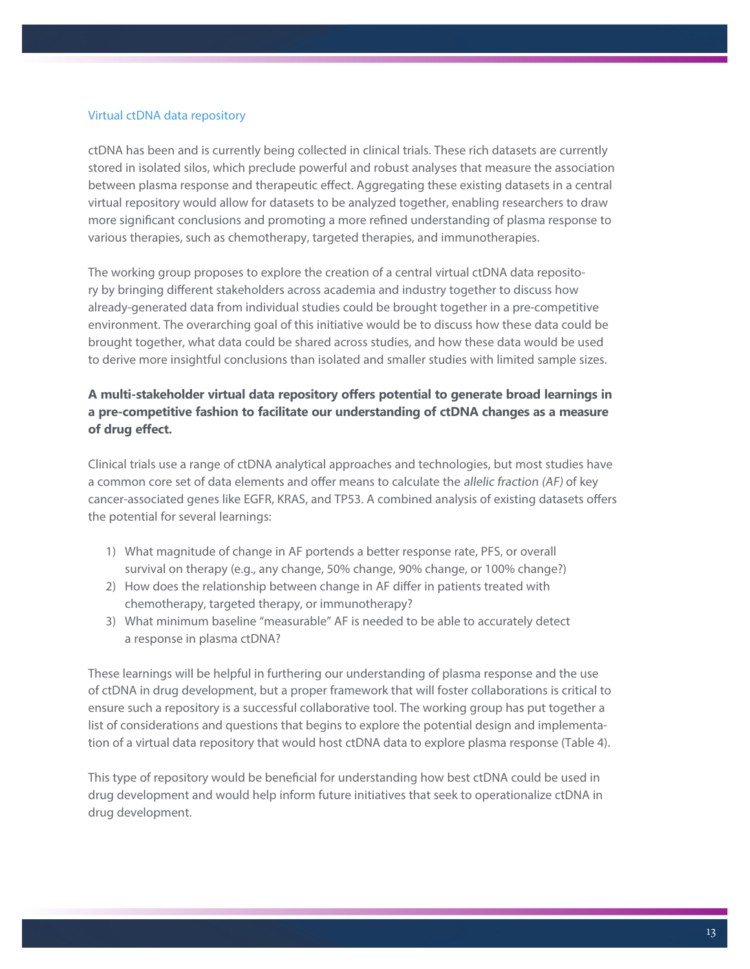#### Virtual ctDNA data repository

ctDNA has been and is currently being collected in clinical trials. These rich datasets are currently stored in isolated silos, which preclude powerful and robust analyses that measure the association between plasma response and therapeutic effect. Aggregating these existing datasets in a central virtual repository would allow for datasets to be analyzed together, enabling researchers to draw more significant conclusions and promoting a more refined understanding of plasma response to various therapies, such as chemotherapy, targeted therapies, and immunotherapies.

The working group proposes to explore the creation of a central virtual ctDNA data repository by bringing different stakeholders across academia and industry together to discuss how already-generated data from individual studies could be brought together in a pre-competitive environment. The overarching goal of this initiative would be to discuss how these data could be brought together, what data could be shared across studies, and how these data would be used to derive more insightful conclusions than isolated and smaller studies with limited sample sizes.

# **A multi-stakeholder virtual data repository offers potential to generate broad learnings in a pre-competitive fashion to facilitate our understanding of ctDNA changes as a measure of drug effect.**

Clinical trials use a range of ctDNA analytical approaches and technologies, but most studies have a common core set of data elements and offer means to calculate the allelic fraction (AF) of key cancer-associated genes like EGFR, KRAS, and TP53. A combined analysis of existing datasets offers the potential for several learnings:

- 1) What magnitude of change in AF portends a better response rate, PFS, or overall survival on therapy (e.g., any change, 50% change, 90% change, or 100% change?)
- 2) How does the relationship between change in AF differ in patients treated with chemotherapy, targeted therapy, or immunotherapy?
- 3) What minimum baseline "measurable" AF is needed to be able to accurately detect a response in plasma ctDNA?

These learnings will be helpful in furthering our understanding of plasma response and the use of ctDNA in drug development, but a proper framework that will foster collaborations is critical to ensure such a repository is a successful collaborative tool. The working group has put together a list of considerations and questions that begins to explore the potential design and implementation of a virtual data repository that would host ctDNA data to explore plasma response (Table 4).

This type of repository would be beneficial for understanding how best ctDNA could be used in drug development and would help inform future initiatives that seek to operationalize ctDNA in drug development.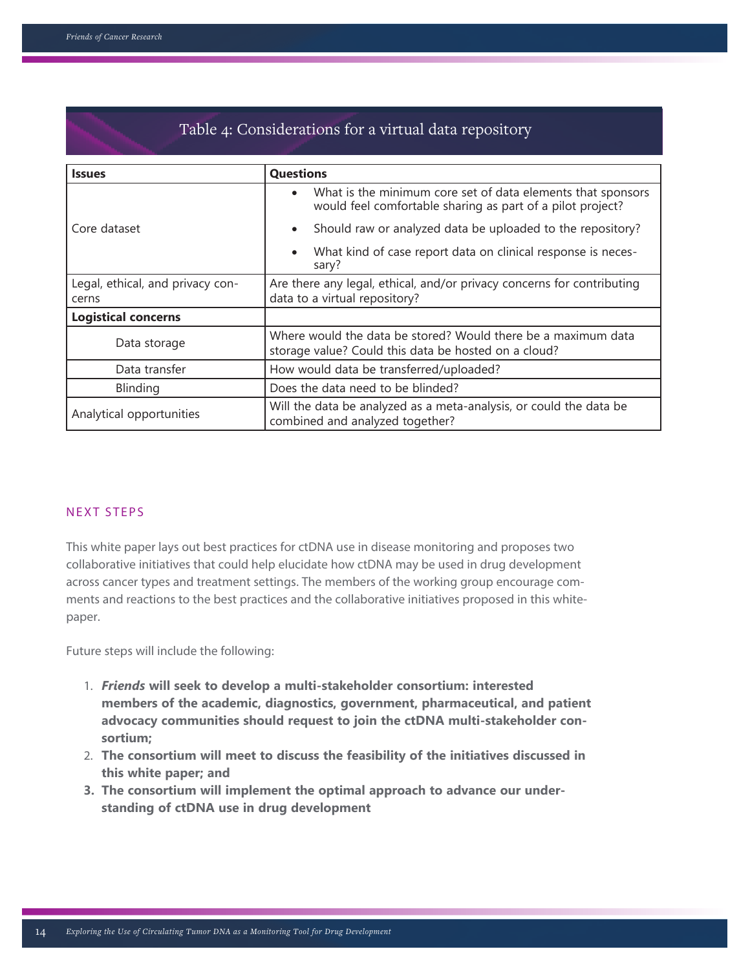| Table 4: Considerations for a virtual data repository |                                                                                                                           |  |  |  |
|-------------------------------------------------------|---------------------------------------------------------------------------------------------------------------------------|--|--|--|
| <b>Issues</b>                                         | <b>Questions</b>                                                                                                          |  |  |  |
|                                                       | What is the minimum core set of data elements that sponsors<br>would feel comfortable sharing as part of a pilot project? |  |  |  |
| Core dataset                                          | Should raw or analyzed data be uploaded to the repository?<br>$\bullet$                                                   |  |  |  |
|                                                       | What kind of case report data on clinical response is neces-<br>$\bullet$<br>sary?                                        |  |  |  |
| Legal, ethical, and privacy con-<br>cerns             | Are there any legal, ethical, and/or privacy concerns for contributing<br>data to a virtual repository?                   |  |  |  |
| <b>Logistical concerns</b>                            |                                                                                                                           |  |  |  |
| Data storage                                          | Where would the data be stored? Would there be a maximum data<br>storage value? Could this data be hosted on a cloud?     |  |  |  |
| Data transfer                                         | How would data be transferred/uploaded?                                                                                   |  |  |  |
| Blinding                                              | Does the data need to be blinded?                                                                                         |  |  |  |
| Analytical opportunities                              | Will the data be analyzed as a meta-analysis, or could the data be<br>combined and analyzed together?                     |  |  |  |

#### NEXT STEPS

This white paper lays out best practices for ctDNA use in disease monitoring and proposes two collaborative initiatives that could help elucidate how ctDNA may be used in drug development across cancer types and treatment settings. The members of the working group encourage comments and reactions to the best practices and the collaborative initiatives proposed in this whitepaper.

Future steps will include the following:

- 1. *Friends* **will seek to develop a multi-stakeholder consortium: interested members of the academic, diagnostics, government, pharmaceutical, and patient advocacy communities should request to join the ctDNA multi-stakeholder con sortium;**
- 2. **The consortium will meet to discuss the feasibility of the initiatives discussed in this white paper; and**
- **3. The consortium will implement the optimal approach to advance our under standing of ctDNA use in drug development**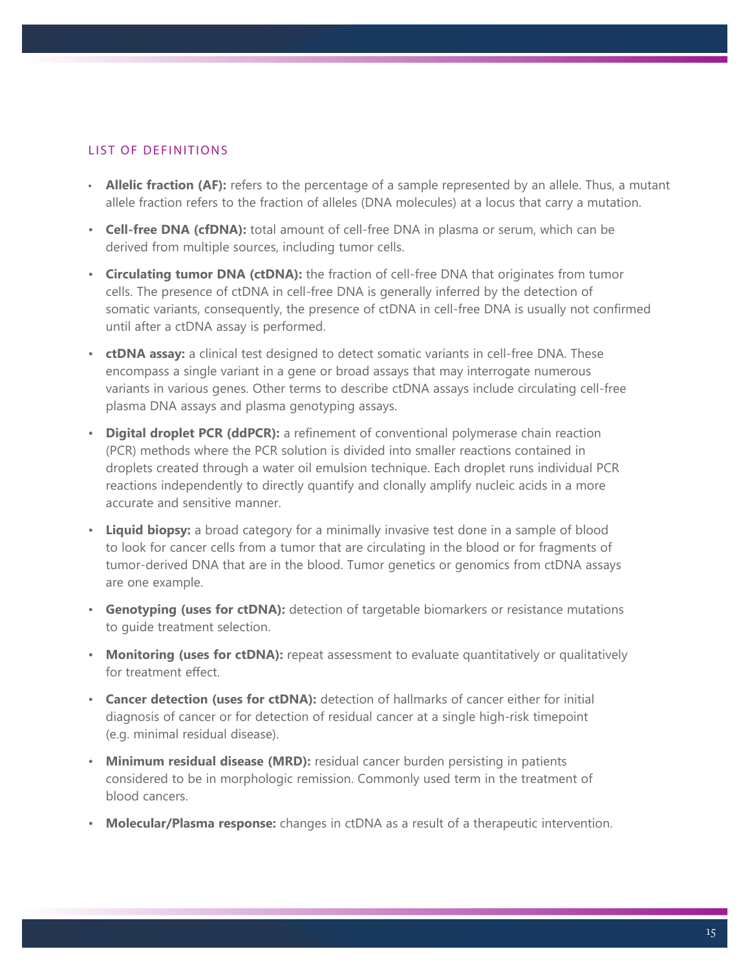### LIST OF DEFINITIONS

- **Allelic fraction (AF):** refers to the percentage of a sample represented by an allele. Thus, a mutant allele fraction refers to the fraction of alleles (DNA molecules) at a locus that carry a mutation.
- **Cell-free DNA (cfDNA):** total amount of cell-free DNA in plasma or serum, which can be derived from multiple sources, including tumor cells.
- **Circulating tumor DNA (ctDNA):** the fraction of cell-free DNA that originates from tumor cells. The presence of ctDNA in cell-free DNA is generally inferred by the detection of somatic variants, consequently, the presence of ctDNA in cell-free DNA is usually not confirmed until after a ctDNA assay is performed.
- **ctDNA assay:** a clinical test designed to detect somatic variants in cell-free DNA. These encompass a single variant in a gene or broad assays that may interrogate numerous variants in various genes. Other terms to describe ctDNA assays include circulating cell-free plasma DNA assays and plasma genotyping assays.
- **Digital droplet PCR (ddPCR):** a refinement of conventional polymerase chain reaction (PCR) methods where the PCR solution is divided into smaller reactions contained in droplets created through a water oil emulsion technique. Each droplet runs individual PCR reactions independently to directly quantify and clonally amplify nucleic acids in a more accurate and sensitive manner.
- **Liquid biopsy:** a broad category for a minimally invasive test done in a sample of blood to look for cancer cells from a tumor that are circulating in the blood or for fragments of tumor-derived DNA that are in the blood. Tumor genetics or genomics from ctDNA assays are one example.
- **Genotyping (uses for ctDNA):** detection of targetable biomarkers or resistance mutations to guide treatment selection.
- **Monitoring (uses for ctDNA):** repeat assessment to evaluate quantitatively or qualitatively for treatment effect.
- **Cancer detection (uses for ctDNA):** detection of hallmarks of cancer either for initial diagnosis of cancer or for detection of residual cancer at a single high-risk timepoint (e.g. minimal residual disease).
- **Minimum residual disease (MRD):** residual cancer burden persisting in patients considered to be in morphologic remission. Commonly used term in the treatment of blood cancers.
- **Molecular/Plasma response:** changes in ctDNA as a result of a therapeutic intervention.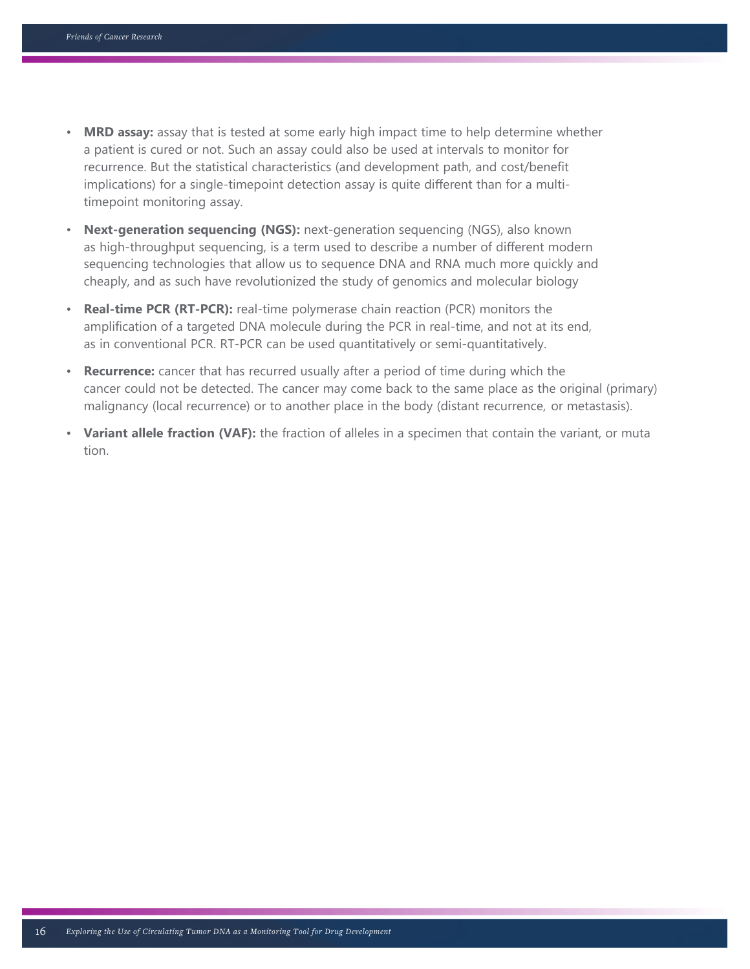- **MRD assay:** assay that is tested at some early high impact time to help determine whether a patient is cured or not. Such an assay could also be used at intervals to monitor for recurrence. But the statistical characteristics (and development path, and cost/benefit implications) for a single-timepoint detection assay is quite different than for a multitimepoint monitoring assay.
- **Next-generation sequencing (NGS):** next-generation sequencing (NGS), also known as high-throughput sequencing, is a term used to describe a number of different modern sequencing technologies that allow us to sequence DNA and RNA much more quickly and cheaply, and as such have revolutionized the study of genomics and molecular biology
- **Real-time PCR (RT-PCR):** real-time polymerase chain reaction (PCR) monitors the amplification of a targeted DNA molecule during the PCR in real-time, and not at its end, as in conventional PCR. RT-PCR can be used quantitatively or semi-quantitatively.
- **Recurrence:** cancer that has recurred usually after a period of time during which the cancer could not be detected. The cancer may come back to the same place as the original (primary) malignancy (local recurrence) or to another place in the body (distant recurrence, or metastasis).
- Variant allele fraction (VAF): the fraction of alleles in a specimen that contain the variant, or muta tion.